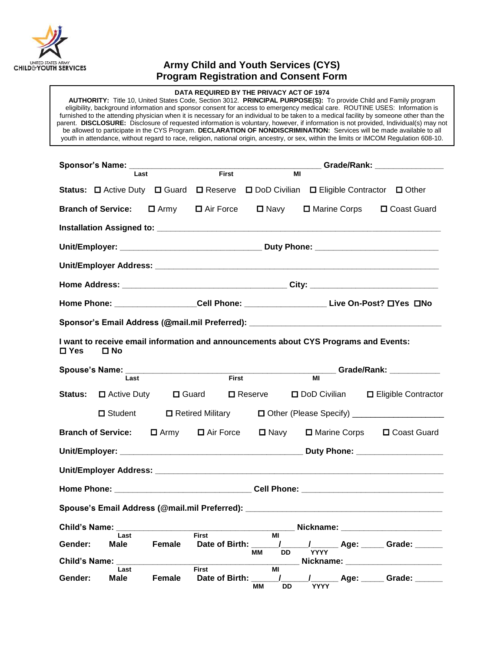

## **Army Child and Youth Services (CYS) Program Registration and Consent Form**

## **DATA REQUIRED BY THE PRIVACY ACT OF 1974**

**AUTHORITY:** Title 10, United States Code, Section 3012. **PRINCIPAL PURPOSE(S):** To provide Child and Family program eligibility, background information and sponsor consent for access to emergency medical care. ROUTINE USES: Information is furnished to the attending physician when it is necessary for an individual to be taken to a medical facility by someone other than the parent. **DISCLOSURE:** Disclosure of requested information is voluntary, however, if information is not provided, Individual(s) may not be allowed to participate in the CYS Program. **DECLARATION OF NONDISCRIMINATION:** Services will be made available to all youth in attendance, without regard to race, religion, national origin, ancestry, or sex, within the limits or IMCOM Regulation 608-10.

| Sponsor's Name: _______________________<br>Last                                                               |                       | First         | Grade/Rank: ________________   |                                                |                                                                                                   |  |  |  |  |  |  |  |
|---------------------------------------------------------------------------------------------------------------|-----------------------|---------------|--------------------------------|------------------------------------------------|---------------------------------------------------------------------------------------------------|--|--|--|--|--|--|--|
|                                                                                                               |                       |               |                                | MI                                             | Status: □ Active Duty □ Guard □ Reserve □ DoD Civilian □ Eligible Contractor □ Other              |  |  |  |  |  |  |  |
|                                                                                                               |                       |               |                                |                                                |                                                                                                   |  |  |  |  |  |  |  |
|                                                                                                               |                       |               |                                |                                                | <b>Branch of Service:</b> □ Army □ Air Force □ Navy □ Marine Corps □ Coast Guard                  |  |  |  |  |  |  |  |
|                                                                                                               |                       |               |                                |                                                |                                                                                                   |  |  |  |  |  |  |  |
|                                                                                                               |                       |               |                                |                                                |                                                                                                   |  |  |  |  |  |  |  |
|                                                                                                               |                       |               |                                |                                                |                                                                                                   |  |  |  |  |  |  |  |
|                                                                                                               |                       |               |                                |                                                |                                                                                                   |  |  |  |  |  |  |  |
| Home Phone: _____________________Cell Phone: _________________________Live On-Post? OYes ONo                  |                       |               |                                |                                                |                                                                                                   |  |  |  |  |  |  |  |
| Sponsor's Email Address (@mail.mil Preferred): _________________________________                              |                       |               |                                |                                                |                                                                                                   |  |  |  |  |  |  |  |
| I want to receive email information and announcements about CYS Programs and Events:<br>$\square$ No<br>□ Yes |                       |               |                                |                                                |                                                                                                   |  |  |  |  |  |  |  |
|                                                                                                               |                       |               |                                | Grade/Rank: Cambridge Management               |                                                                                                   |  |  |  |  |  |  |  |
|                                                                                                               | Last                  |               | First                          |                                                | MI                                                                                                |  |  |  |  |  |  |  |
| <b>Status:</b>                                                                                                | □ Active Duty □ Guard |               |                                | □ Reserve □ DoD Civilian □ Eligible Contractor |                                                                                                   |  |  |  |  |  |  |  |
|                                                                                                               |                       |               |                                |                                                | □ Student □ Retired Military □ Other (Please Specify) _________________________                   |  |  |  |  |  |  |  |
|                                                                                                               |                       |               |                                |                                                | <b>Branch of Service:</b> □ Army □ Air Force □ Navy □ Marine Corps □ Coast Guard                  |  |  |  |  |  |  |  |
|                                                                                                               |                       |               |                                |                                                |                                                                                                   |  |  |  |  |  |  |  |
|                                                                                                               |                       |               |                                |                                                |                                                                                                   |  |  |  |  |  |  |  |
|                                                                                                               |                       |               |                                |                                                | <u>Home Phone: _________________________________Cell Phone: _________________________________</u> |  |  |  |  |  |  |  |
|                                                                                                               |                       |               |                                |                                                | Spouse's Email Address (@mail.mil Preferred): __________________________________                  |  |  |  |  |  |  |  |
| Child's Name:                                                                                                 |                       |               |                                |                                                | Nickname: Nickname:                                                                               |  |  |  |  |  |  |  |
| Gender:                                                                                                       | Last<br>Male          | Female        | <b>First</b><br>Date of Birth: | MI                                             | /_______ Age: ______ Grade: ______                                                                |  |  |  |  |  |  |  |
| <b>Child's Name:</b>                                                                                          |                       |               |                                | DD<br>ΜМ                                       | <b>YYYY</b><br>Nickname: ______________________                                                   |  |  |  |  |  |  |  |
| Gender:                                                                                                       | Last<br>Male          | <b>Female</b> | <b>First</b><br>Date of Birth: | MI<br>DD<br>MМ                                 | /______ Age: _____ Grade: _____<br><b>YYYY</b>                                                    |  |  |  |  |  |  |  |